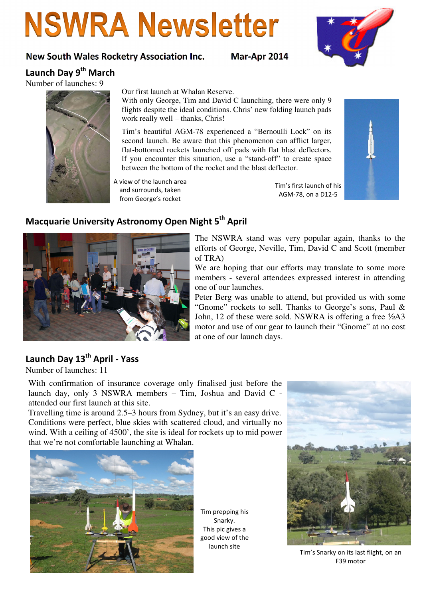# **NSWRA Newsletter**

#### New South Wales Rocketry Association Inc. Mar-Apr 2014



Launch Day 9<sup>th</sup> March

Number of launches: 9



#### Our first launch at Whalan Reserve.

With only George, Tim and David C launching, there were only 9 flights despite the ideal conditions. Chris' new folding launch pads work really well – thanks, Chris!

Tim's beautiful AGM-78 experienced a "Bernoulli Lock" on its second launch. Be aware that this phenomenon can afflict larger, flat-bottomed rockets launched off pads with flat blast deflectors. If you encounter this situation, use a "stand-off" to create space between the bottom of the rocket and the blast deflector.

A view of the launch area and surrounds, taken from George's rocket

Tim's first launch of his AGM-78, on a D12-5



### Macquarie University Astronomy Open Night 5<sup>th</sup> April



The NSWRA stand was very popular again, thanks to the efforts of George, Neville, Tim, David C and Scott (member of TRA)

We are hoping that our efforts may translate to some more members - several attendees expressed interest in attending one of our launches.

Peter Berg was unable to attend, but provided us with some "Gnome" rockets to sell. Thanks to George's sons, Paul & John, 12 of these were sold. NSWRA is offering a free ½A3 motor and use of our gear to launch their "Gnome" at no cost at one of our launch days.

## Launch Day 13<sup>th</sup> April - Yass

Number of launches: 11

With confirmation of insurance coverage only finalised just before the launch day, only 3 NSWRA members – Tim, Joshua and David C attended our first launch at this site.

Travelling time is around 2.5–3 hours from Sydney, but it's an easy drive. Conditions were perfect, blue skies with scattered cloud, and virtually no wind. With a ceiling of 4500', the site is ideal for rockets up to mid power that we're not comfortable launching at Whalan.



Tim prepping his Snarky. This pic gives a good view of the launch site



Tim's Snarky on its last flight, on an F39 motor